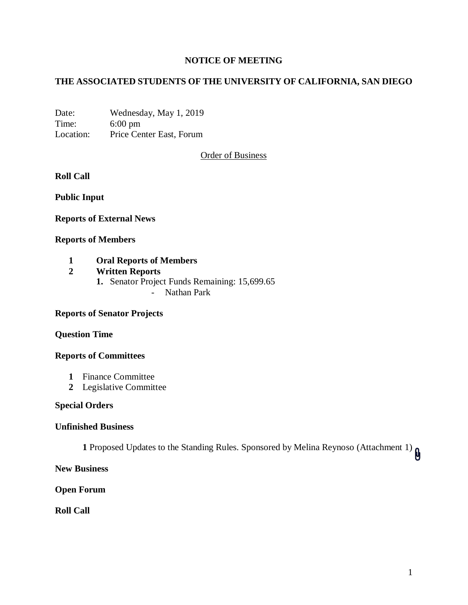## **NOTICE OF MEETING**

# **THE ASSOCIATED STUDENTS OF THE UNIVERSITY OF CALIFORNIA, SAN DIEGO**

Date: Wednesday, May 1, 2019 Time: 6:00 pm Location: Price Center East, Forum

Order of Business

### **Roll Call**

**Public Input**

### **Reports of External News**

### **Reports of Members**

## **1 Oral Reports of Members**

## **2 Written Reports**

- **1.** Senator Project Funds Remaining: 15,699.65
	- Nathan Park

### **Reports of Senator Projects**

### **Question Time**

### **Reports of Committees**

- **1** Finance Committee
- **2** Legislative Committee

### **Special Orders**

### **Unfinished Business**

**1** Proposed Updates to the Standing Rules. Sponsored by Melina Reynoso (Attachment 1)

**New Business**

**Open Forum**

**Roll Call**